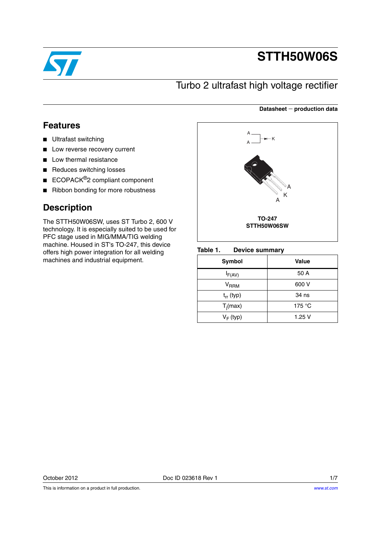

# **STTH50W06S**

## Turbo 2 ultrafast high voltage rectifier

### **Datasheet production data**

## **Features**

- Ultrafast switching
- Low reverse recovery current
- Low thermal resistance
- Reduces switching losses
- ECOPACK<sup>®</sup>2 compliant component
- Ribbon bonding for more robustness

## **Description**

The STTH50W06SW, uses ST Turbo 2, 600 V technology. It is especially suited to be used for PFC stage used in MIG/MMA/TIG welding machine. Housed in ST's TO-247, this device offers high power integration for all welding machines and industrial equipment.



#### Table 1. **Device summary**

| <b>Symbol</b>             | Value           |
|---------------------------|-----------------|
| $I_{F(AV)}$               | 50 A            |
| $\mathsf{V}_\mathsf{RRM}$ | 600 V           |
| $t_{rr}$ (typ)            | 34 ns           |
| $T_i(max)$                | 175 $\degree$ C |
| $V_F$ (typ)               | 1.25V           |

This is information on a product in full production.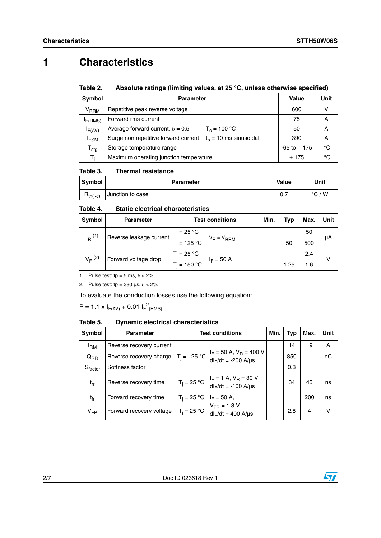## **1 Characteristics**

#### Table 2. Absolute ratings (limiting values, at 25 °C, unless otherwise specified)

| Symbol                    | <b>Parameter</b>                                                | Value           | Unit |   |
|---------------------------|-----------------------------------------------------------------|-----------------|------|---|
| <b>V<sub>RRM</sub></b>    | Repetitive peak reverse voltage                                 | 600             |      |   |
| F(RMS)                    | Forward rms current                                             | 75              | А    |   |
| IF(AV)                    | Average forward current, $\delta = 0.5$<br>$T_c = 100 °C$       |                 | 50   | Α |
| <sup>I</sup> FSM          | Surge non repetitive forward current<br>$tp$ = 10 ms sinusoidal |                 | 390  | А |
| $\mathsf{T}_{\text{stg}}$ | Storage temperature range                                       | $-65$ to $+175$ | °C   |   |
| T.                        | Maximum operating junction temperature                          | + 175           | °C   |   |

#### Table 3. **Thermal resistance**

| <b>Symbol</b> | <b>Parameter</b> | Value | Unit            |
|---------------|------------------|-------|-----------------|
| $R_{th(j-c)}$ | Junction to case | υ. Ι  | $\degree$ C / W |

#### Table 4. **Static electrical characteristics**

| Symbol      | <b>Parameter</b>                                | <b>Test conditions</b>             |                 | Min. | Tvp  | Max. | Unit         |
|-------------|-------------------------------------------------|------------------------------------|-----------------|------|------|------|--------------|
|             | $I_R$ <sup>(1)</sup><br>Reverse leakage current | $T_i = 25 °C$                      | $V_R = V_{RRM}$ |      |      | 50   | μA           |
|             |                                                 | $T_i = 125 °C$                     |                 |      | 50   | 500  |              |
| $V_F^{(2)}$ | Forward voltage drop                            | $T_i = 25 \text{ }^\circ \text{C}$ | $H_F = 50 A$    |      |      | 2.4  | $\mathsf{v}$ |
|             |                                                 | $T_i = 150 °C$                     |                 |      | 1.25 | 1.6  |              |

1. Pulse test:  $tp = 5$  ms,  $\delta < 2\%$ 

2. Pulse test:  $tp = 380 \text{ }\mu\text{s}, \delta < 2\%$ 

To evaluate the conduction losses use the following equation:

 $P = 1.1 \times I_{F(AV)} + 0.01 I_{F}^{2}$ (RMS)

#### Table 5. **Dynamic electrical characteristics**

| Symbol          | <b>Parameter</b>         | <b>Test conditions</b> |                                                                                                                             |  | Typ | Max. | Unit |
|-----------------|--------------------------|------------------------|-----------------------------------------------------------------------------------------------------------------------------|--|-----|------|------|
| <sup>I</sup> RM | Reverse recovery current |                        |                                                                                                                             |  | 14  | 19   | A    |
| $Q_{RR}$        | Reverse recovery charge  |                        | $T_j = 125 \text{ °C}$ $\left  \frac{I_F}{I} \right  = 50 \text{ A}$ , $V_R = 400 \text{ V}$<br>$dl_F/dt = -200$ A/ $\mu s$ |  | 850 |      | nC   |
| $S_{factor}$    | Softness factor          |                        |                                                                                                                             |  | 0.3 |      |      |
| $t_{rr}$        | Reverse recovery time    |                        | $T_j = 25 \text{ °C}$ $\begin{vmatrix} I_F = 1 \text{ A}, V_R = 30 \text{ V} \\ dl_F/dt = -100 \text{ A/ps} \end{vmatrix}$  |  | 34  | 45   | ns   |
| $t_{fr}$        | Forward recovery time    | $T_i = 25 °C$          | $I_F = 50$ A,                                                                                                               |  |     | 200  | ns   |
| $V_{FP}$        | Forward recovery voltage | $T_i = 25 °C$          | $V_{FR} = 1.8 V$<br>$dl_F/dt = 400$ A/ $\mu s$                                                                              |  | 2.8 | 4    | v    |

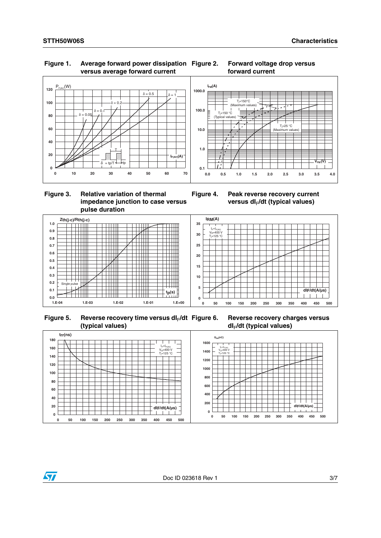### **Figure 1. Average forward power dissipation versus average forward current**





### **Figure 3. Relative variation of thermal impedance junction to case versus pulse duration**





Figure 5. Reverse recovery time versus dl<sub>F</sub>/dt **(typical values)**

**Figure 6. Reverse recovery charges versus dI**F**/dt (typical values)**

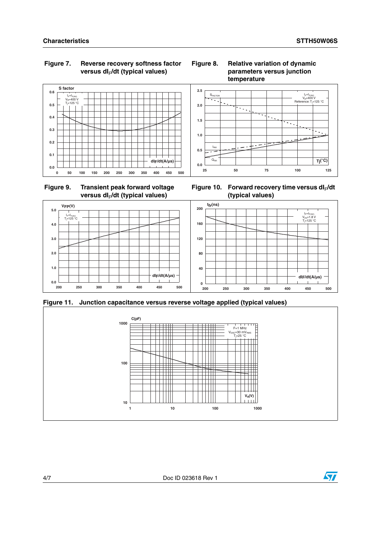### **Figure 7. Reverse recovery softness factor**  versus dl<sub>F</sub>/dt (typical values)

### **Figure 8. Relative variation of dynamic parameters versus junction temperature**













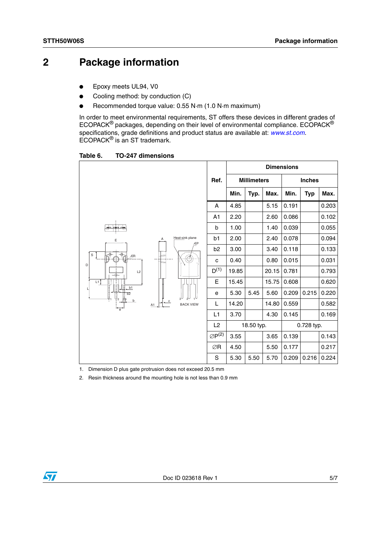## **2 Package information**

- Epoxy meets UL94, V0
- Cooling method: by conduction (C)
- Recommended torque value: 0.55 N·m (1.0 N·m maximum)

In order to meet environmental requirements, ST offers these devices in different grades of ECOPACK® packages, depending on their level of environmental compliance. ECOPACK® specifications, grade definitions and product status are available at: *[www.st.com](http://www.st.com).* ECOPACK® is an ST trademark.

Table 6. **Table 6. TO-247 dimensions**

|                                                                         |                             |                |                       | <b>Dimensions</b> |                    |       |       |               |       |
|-------------------------------------------------------------------------|-----------------------------|----------------|-----------------------|-------------------|--------------------|-------|-------|---------------|-------|
|                                                                         |                             |                | Ref.                  |                   | <b>Millimeters</b> |       |       | <b>Inches</b> |       |
|                                                                         |                             |                |                       | Min.              | Typ.               | Max.  | Min.  | <b>Typ</b>    | Max.  |
| min<br>Α<br>Ε<br>$\overline{\phi}$<br>√∳<br>$\mathbb S$<br>ÆR<br>누<br>D |                             | A              | 4.85                  |                   | 5.15               | 0.191 |       | 0.203         |       |
|                                                                         |                             | A <sub>1</sub> | 2.20                  |                   | 2.60               | 0.086 |       | 0.102         |       |
|                                                                         |                             | b              | 1.00                  |                   | 1.40               | 0.039 |       | 0.055         |       |
|                                                                         | Heat-sink plane<br>ÆP       | b <sub>1</sub> | 2.00                  |                   | 2.40               | 0.078 |       | 0.094         |       |
|                                                                         |                             | Ő              | b <sub>2</sub>        | 3.00              |                    | 3.40  | 0.118 |               | 0.133 |
|                                                                         |                             |                | C                     | 0.40              |                    | 0.80  | 0.015 |               | 0.031 |
| L2<br>-⊕-                                                               |                             |                | $D^{(1)}$             | 19.85             |                    | 20.15 | 0.781 |               | 0.793 |
| L1<br>b1                                                                | c<br><b>BACK VIEW</b><br>A1 |                | Е                     | 15.45             |                    | 15.75 | 0.608 |               | 0.620 |
| $\overline{b2}$                                                         |                             |                | е                     | 5.30              | 5.45               | 5.60  | 0.209 | 0.215         | 0.220 |
| b<br>$\overrightarrow{e}$                                               |                             |                | L                     | 14.20             |                    | 14.80 | 0.559 |               | 0.582 |
|                                                                         |                             |                | L <sub>1</sub>        | 3.70              |                    | 4.30  | 0.145 |               | 0.169 |
|                                                                         |                             |                | L2                    |                   | 18.50 typ.         |       |       | 0.728 typ.    |       |
|                                                                         |                             |                | $\varnothing P^{(2)}$ | 3.55              |                    | 3.65  | 0.139 |               | 0.143 |
|                                                                         |                             |                | ∅R                    | 4.50              |                    | 5.50  | 0.177 |               | 0.217 |
|                                                                         |                             |                | S                     | 5.30              | 5.50               | 5.70  | 0.209 | 0.216         | 0.224 |

1. Dimension D plus gate protrusion does not exceed 20.5 mm

2. Resin thickness around the mounting hole is not less than 0.9 mm

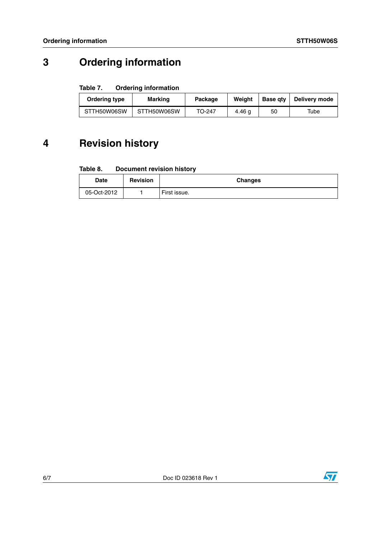## **3 Ordering information**

### Table 7. **Ordering information**

| Ordering type | <b>Marking</b> | Package | Weiaht | <b>Base atv</b> | Delivery mode |
|---------------|----------------|---------|--------|-----------------|---------------|
| STTH50W06SW   | STTH50W06SW    | TO-247  | 4.46 a | 50              | Tube          |

## **4 Revision history**

#### Table 8. **Document revision history**

| Date        | <b>Revision</b> | <b>Changes</b> |
|-------------|-----------------|----------------|
| 05-Oct-2012 |                 | First issue.   |